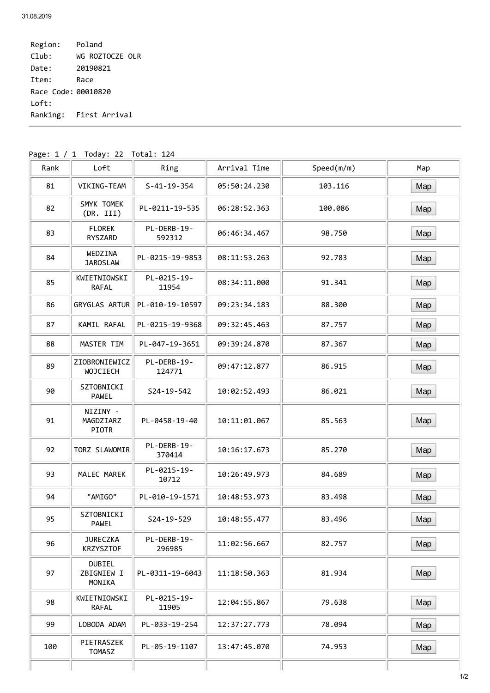Region: Poland Club: WG ROZTOCZE OLR Date: 20190821 Item: Race Race Code: 00010820 Loft: Ranking: First Arrival

| Rank | Loft                                  | Ring                  | Arrival Time | Speed(m/m) | Map |
|------|---------------------------------------|-----------------------|--------------|------------|-----|
| 81   | VIKING-TEAM                           | $S - 41 - 19 - 354$   | 05:50:24.230 | 103.116    | Map |
| 82   | SMYK TOMEK<br>(DR. III)               | PL-0211-19-535        | 06:28:52.363 | 100.086    | Map |
| 83   | <b>FLOREK</b><br>RYSZARD              | PL-DERB-19-<br>592312 | 06:46:34.467 | 98.750     | Map |
| 84   | WEDZINA<br><b>JAROSLAW</b>            | PL-0215-19-9853       | 08:11:53.263 | 92.783     | Map |
| 85   | KWIETNIOWSKI<br>RAFAL                 | PL-0215-19-<br>11954  | 08:34:11.000 | 91.341     | Map |
| 86   | GRYGLAS ARTUR                         | PL-010-19-10597       | 09:23:34.183 | 88.300     | Map |
| 87   | KAMIL RAFAL                           | PL-0215-19-9368       | 09:32:45.463 | 87.757     | Map |
| 88   | MASTER TIM                            | PL-047-19-3651        | 09:39:24.870 | 87.367     | Map |
| 89   | ZIOBRONIEWICZ<br><b>WOJCIECH</b>      | PL-DERB-19-<br>124771 | 09:47:12.877 | 86.915     | Map |
| 90   | SZTOBNICKI<br>PAWEL                   | S24-19-542            | 10:02:52.493 | 86.021     | Map |
| 91   | NIZINY -<br>MAGDZIARZ<br><b>PIOTR</b> | PL-0458-19-40         | 10:11:01.067 | 85.563     | Map |
| 92   | TORZ SLAWOMIR                         | PL-DERB-19-<br>370414 | 10:16:17.673 | 85.270     | Map |
| 93   | MALEC MAREK                           | PL-0215-19-<br>10712  | 10:26:49.973 | 84.689     | Map |
| 94   | "AMIGO"                               | PL-010-19-1571        | 10:48:53.973 | 83.498     | Map |
| 95   | SZTOBNICKI<br>PAWEL                   | S24-19-529            | 10:48:55.477 | 83.496     | Map |
| 96   | <b>JURECZKA</b><br><b>KRZYSZTOF</b>   | PL-DERB-19-<br>296985 | 11:02:56.667 | 82.757     | Map |
| 97   | <b>DUBIEL</b><br>ZBIGNIEW I<br>MONIKA | PL-0311-19-6043       | 11:18:50.363 | 81.934     | Map |
| 98   | KWIETNIOWSKI<br>RAFAL                 | PL-0215-19-<br>11905  | 12:04:55.867 | 79.638     | Map |
| 99   | LOBODA ADAM                           | PL-033-19-254         | 12:37:27.773 | 78.094     | Map |
| 100  | PIETRASZEK<br>TOMASZ                  | PL-05-19-1107         | 13:47:45.070 | 74.953     | Map |

Page: 1 / 1 Today: 22 Total: 124